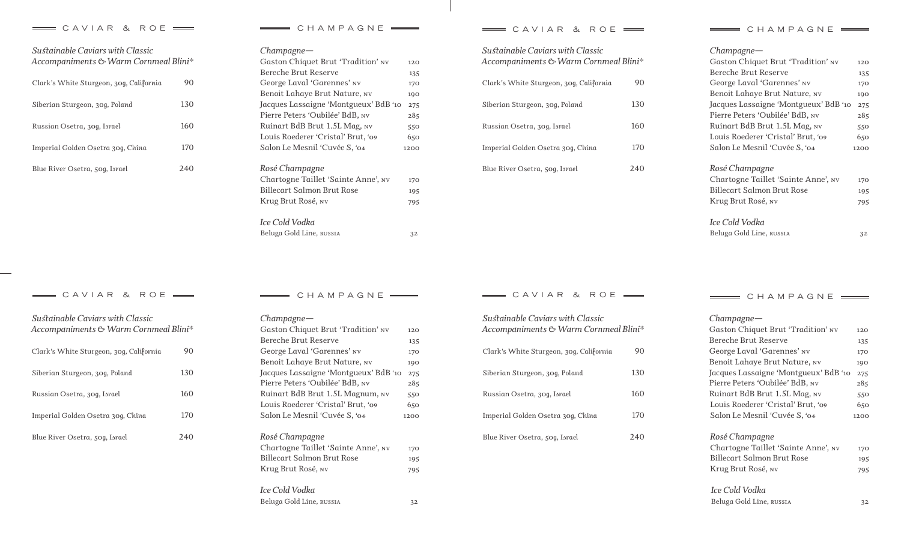## $\equiv$  CAVIAR & ROE  $\equiv$   $\equiv$  CHAMPAGNE  $\equiv$  CAVIAR & ROE  $\equiv$

| Sustainable Caviars with Classic<br>Accompaniments & Warm Cornmeal Blini* |        |  |  |  |
|---------------------------------------------------------------------------|--------|--|--|--|
| Clark's White Sturgeon, 30g, California                                   | 90     |  |  |  |
| Siberian Sturgeon, 30g, Poland                                            | 130    |  |  |  |
| Russian Osetra, 30g, Israel                                               | 160    |  |  |  |
| Imperial Golden Osetra 30g, China                                         | 170    |  |  |  |
| Blue River Osetra, 50g, Israel                                            | (2.40) |  |  |  |

| $Champagne$ —                         |      |
|---------------------------------------|------|
| Gaston Chiquet Brut 'Tradition' NV    | 120  |
| Bereche Brut Reserve                  | 135  |
| George Laval 'Garennes' NV            | 170  |
| Benoit Lahaye Brut Nature, NV         | 190  |
| Jacques Lassaigne 'Montgueux' BdB '10 | 275  |
| Pierre Peters 'Oubilée' BdB, NV       | 285  |
| Ruinart BdB Brut 1.5L Mag, NV         | 550  |
| Louis Roederer 'Cristal' Brut, '09    | 650  |
| Salon Le Mesnil 'Cuvée S, '04         | 1200 |
| Rosé Champagne                        |      |
| Chartogne Taillet 'Sainte Anne', NV   | 170  |
| Billecart Salmon Brut Rose            | 195  |
| Krug Brut Rosé, nv                    | 795  |
| Ice Cold Vodka                        |      |
| Beluga Gold Line, RUSSIA              | 32   |

| Sustainable Caviars with Classic<br>Accompaniments & Warm Cornmeal Blini* |      |
|---------------------------------------------------------------------------|------|
| Clark's White Sturgeon, 30g, California                                   | 90   |
| Siberian Sturgeon, 30g, Poland                                            | 130  |
| Russian Osetra, 30g, Israel                                               | 160  |
| Imperial Golden Osetra 30g, China                                         | 170  |
| Blue River Osetra, 50g, Israel                                            | 2.40 |
|                                                                           |      |

| — СНАМРАСЛЕ |  |  |  |  |  |  |  |  |  |
|-------------|--|--|--|--|--|--|--|--|--|
|-------------|--|--|--|--|--|--|--|--|--|

| $Champagne$ —                         |      |
|---------------------------------------|------|
| Gaston Chiquet Brut 'Tradition' NV    | 120  |
| Bereche Brut Reserve                  | 135  |
| George Laval 'Garennes' NV            | 170  |
| Benoit Lahaye Brut Nature, NV         | 190  |
| Jacques Lassaigne 'Montgueux' BdB '10 | 275  |
| Pierre Peters 'Oubilée' BdB, NV       | 285  |
| Ruinart BdB Brut 1.5L Mag, NV         | 550  |
| Louis Roederer 'Cristal' Brut. '09    | 650  |
| Salon Le Mesnil 'Cuvée S, '04         | 1200 |
| Rosé Champagne                        |      |
| Chartogne Taillet 'Sainte Anne', NV   | 170  |
| Billecart Salmon Brut Rose            | 195  |
| Krug Brut Rosé, NV                    | 795  |
| Ice Cold Vodka                        |      |

| Sustainable Caviars with Classic<br>Accompaniments & Warm Cornmeal Blini* |                 |
|---------------------------------------------------------------------------|-----------------|
| Clark's White Sturgeon, 30g, California                                   | 90              |
| Siberian Sturgeon, 30g, Poland                                            | 130             |
| Russian Osetra, 30g, Israel                                               | 160             |
| Imperial Golden Osetra 30g, China                                         | 17 <sub>0</sub> |
| Blue River Osetra, 50g, Israel                                            | (2.4()          |

| CHAMPAGNE                             |      |
|---------------------------------------|------|
| $Champagne$ —                         |      |
| Gaston Chiquet Brut 'Tradition' NV    | 120  |
| Bereche Brut Reserve                  | 135  |
| George Laval 'Garennes' NV            | 170  |
| Benoit Lahaye Brut Nature, NV         | 190  |
| Jacques Lassaigne 'Montgueux' BdB '10 | 275  |
| Pierre Peters 'Oubilée' BdB, NV       | 285  |
| Ruinart BdB Brut 1.5L Magnum, NV      | 550  |
| Louis Roederer 'Cristal' Brut, '09    | 650  |
| Salon Le Mesnil 'Cuvée S, '04         | 1200 |
| Rosé Champagne                        |      |
| Chartogne Taillet 'Sainte Anne', NV   | 170  |
| Billecart Salmon Brut Rose            | 195  |
| Krug Brut Rosé, nv                    | 795  |
| Ice Cold Vodka                        |      |
| Beluga Gold Line, russia              | 32   |

 $=$  CAVIAR & ROE  $=$   $=$  CHAMPAGNE  $=$   $=$  CAVIAR & ROE  $=$ 

| Sustainable Caviars with Classic<br>Accompaniments & Warm Cornmeal Blini* |      |  |  |  |
|---------------------------------------------------------------------------|------|--|--|--|
| Clark's White Sturgeon, 30g, California                                   | 90   |  |  |  |
| Siberian Sturgeon, 30g, Poland                                            | 130  |  |  |  |
| Russian Osetra, 30g, Israel                                               | 160  |  |  |  |
| Imperial Golden Osetra 30g, China                                         | 170  |  |  |  |
| Blue River Osetra, 50g, Israel                                            | 2.4( |  |  |  |

 $C$  H A M P A G N E  $\equiv$ 

*Beluga Gold Line, russia 32*

| $Champagne$ —                         |      |
|---------------------------------------|------|
| Gaston Chiquet Brut 'Tradition' NV    | 120  |
| Bereche Brut Reserve                  | 135  |
| George Laval 'Garennes' NV            | 170  |
| Benoit Lahaye Brut Nature, NV         | 190  |
| Jacques Lassaigne 'Montgueux' BdB '10 | 275  |
| Pierre Peters 'Oubilée' BdB, NV       | 285  |
| Ruinart BdB Brut 1.5L Mag, NV         | 550  |
| Louis Roederer 'Cristal' Brut, '09    | 650  |
| Salon Le Mesnil 'Cuvée S. '04         | 1200 |
| Rosé Champagne                        |      |
| Chartogne Taillet 'Sainte Anne', NV   | 170  |
| Billecart Salmon Brut Rose            | 195  |
| Krug Brut Rosé, nv                    | 795  |
| Ice Cold Vodka                        |      |

## *Beluga Gold Line, russia 32*